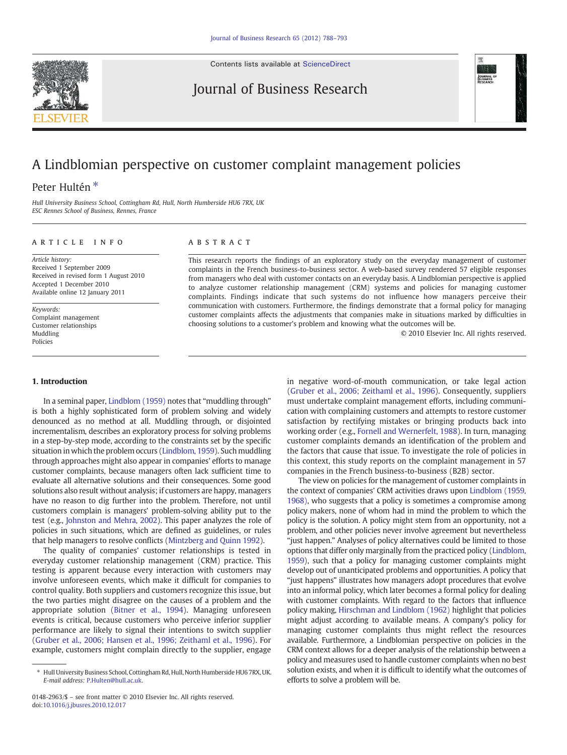Contents lists available at [ScienceDirect](http://www.sciencedirect.com/science/journal/01482963)



Journal of Business Research



## A Lindblomian perspective on customer complaint management policies

## Peter Hultén<sup>\*</sup>

Hull University Business School, Cottingham Rd, Hull, North Humberside HU6 7RX, UK ESC Rennes School of Business, Rennes, France

### article info abstract

Article history: Received 1 September 2009 Received in revised form 1 August 2010 Accepted 1 December 2010 Available online 12 January 2011

Keywords: Complaint management Customer relationships Muddling Policies

### 1. Introduction

In a seminal paper, [Lindblom \(1959\)](#page--1-0) notes that "muddling through" is both a highly sophisticated form of problem solving and widely denounced as no method at all. Muddling through, or disjointed incrementalism, describes an exploratory process for solving problems in a step-by-step mode, according to the constraints set by the specific situation in which the problem occurs [\(Lindblom, 1959](#page--1-0)). Such muddling through approaches might also appear in companies' efforts to manage customer complaints, because managers often lack sufficient time to evaluate all alternative solutions and their consequences. Some good solutions also result without analysis; if customers are happy, managers have no reason to dig further into the problem. Therefore, not until customers complain is managers' problem-solving ability put to the test (e.g., [Johnston and Mehra, 2002](#page--1-0)). This paper analyzes the role of policies in such situations, which are defined as guidelines, or rules that help managers to resolve conflicts ([Mintzberg and Quinn 1992](#page--1-0)).

The quality of companies' customer relationships is tested in everyday customer relationship management (CRM) practice. This testing is apparent because every interaction with customers may involve unforeseen events, which make it difficult for companies to control quality. Both suppliers and customers recognize this issue, but the two parties might disagree on the causes of a problem and the appropriate solution ([Bitner et al., 1994\)](#page--1-0). Managing unforeseen events is critical, because customers who perceive inferior supplier performance are likely to signal their intentions to switch supplier [\(Gruber et al., 2006; Hansen et al., 1996; Zeithaml et al., 1996\)](#page--1-0). For example, customers might complain directly to the supplier, engage

This research reports the findings of an exploratory study on the everyday management of customer complaints in the French business-to-business sector. A web-based survey rendered 57 eligible responses from managers who deal with customer contacts on an everyday basis. A Lindblomian perspective is applied to analyze customer relationship management (CRM) systems and policies for managing customer complaints. Findings indicate that such systems do not influence how managers perceive their communication with customers. Furthermore, the findings demonstrate that a formal policy for managing customer complaints affects the adjustments that companies make in situations marked by difficulties in choosing solutions to a customer's problem and knowing what the outcomes will be.

© 2010 Elsevier Inc. All rights reserved.

in negative word-of-mouth communication, or take legal action [\(Gruber et al., 2006; Zeithaml et al., 1996](#page--1-0)). Consequently, suppliers must undertake complaint management efforts, including communication with complaining customers and attempts to restore customer satisfaction by rectifying mistakes or bringing products back into working order (e.g., [Fornell and Wernerfelt, 1988\)](#page--1-0). In turn, managing customer complaints demands an identification of the problem and the factors that cause that issue. To investigate the role of policies in this context, this study reports on the complaint management in 57 companies in the French business-to-business (B2B) sector.

The view on policies for the management of customer complaints in the context of companies' CRM activities draws upon [Lindblom \(1959,](#page--1-0) [1968\),](#page--1-0) who suggests that a policy is sometimes a compromise among policy makers, none of whom had in mind the problem to which the policy is the solution. A policy might stem from an opportunity, not a problem, and other policies never involve agreement but nevertheless "just happen." Analyses of policy alternatives could be limited to those options that differ only marginally from the practiced policy [\(Lindblom,](#page--1-0) [1959\)](#page--1-0), such that a policy for managing customer complaints might develop out of unanticipated problems and opportunities. A policy that "just happens" illustrates how managers adopt procedures that evolve into an informal policy, which later becomes a formal policy for dealing with customer complaints. With regard to the factors that influence policy making, [Hirschman and Lindblom \(1962\)](#page--1-0) highlight that policies might adjust according to available means. A company's policy for managing customer complaints thus might reflect the resources available. Furthermore, a Lindblomian perspective on policies in the CRM context allows for a deeper analysis of the relationship between a policy and measures used to handle customer complaints when no best solution exists, and when it is difficult to identify what the outcomes of efforts to solve a problem will be.

<sup>⁎</sup> Hull University Business School, Cottingham Rd, Hull, North Humberside HU6 7RX, UK. E-mail address: [P.Hulten@hull.ac.uk.](mailto:P.Hulten@hull.ac.uk)

<sup>0148-2963/\$</sup> – see front matter © 2010 Elsevier Inc. All rights reserved. doi[:10.1016/j.jbusres.2010.12.017](http://dx.doi.org/10.1016/j.jbusres.2010.12.017)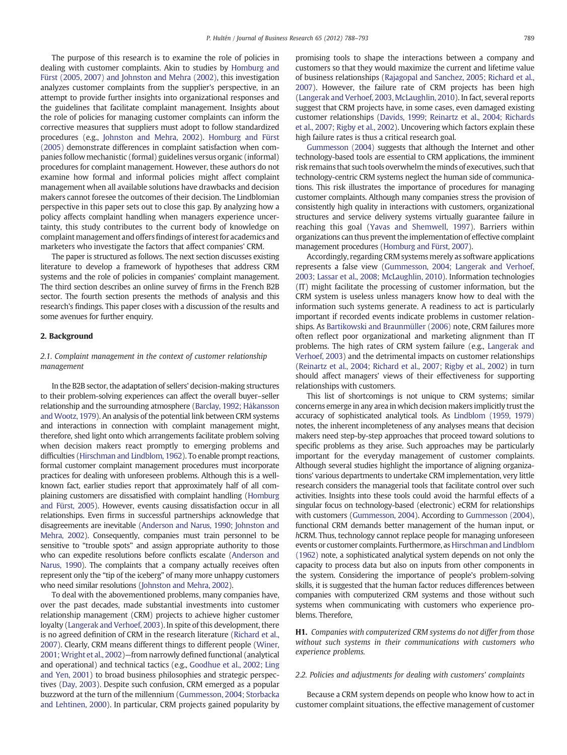The purpose of this research is to examine the role of policies in dealing with customer complaints. Akin to studies by [Homburg and](#page--1-0) [Fürst \(2005, 2007\) and Johnston and Mehra \(2002\),](#page--1-0) this investigation analyzes customer complaints from the supplier's perspective, in an attempt to provide further insights into organizational responses and the guidelines that facilitate complaint management. Insights about the role of policies for managing customer complaints can inform the corrective measures that suppliers must adopt to follow standardized procedures (e.g., [Johnston and Mehra, 2002\)](#page--1-0). [Homburg and Fürst](#page--1-0) [\(2005\)](#page--1-0) demonstrate differences in complaint satisfaction when companies follow mechanistic (formal) guidelines versus organic (informal) procedures for complaint management. However, these authors do not examine how formal and informal policies might affect complaint management when all available solutions have drawbacks and decision makers cannot foresee the outcomes of their decision. The Lindblomian perspective in this paper sets out to close this gap. By analyzing how a policy affects complaint handling when managers experience uncertainty, this study contributes to the current body of knowledge on complaint management and offers findings of interest for academics and marketers who investigate the factors that affect companies' CRM.

The paper is structured as follows. The next section discusses existing literature to develop a framework of hypotheses that address CRM systems and the role of policies in companies' complaint management. The third section describes an online survey of firms in the French B2B sector. The fourth section presents the methods of analysis and this research's findings. This paper closes with a discussion of the results and some avenues for further enquiry.

### 2. Background

### 2.1. Complaint management in the context of customer relationship management

In the B2B sector, the adaptation of sellers' decision-making structures to their problem-solving experiences can affect the overall buyer–seller relationship and the surrounding atmosphere [\(Barclay, 1992; Håkansson](#page--1-0) [and Wootz, 1979\)](#page--1-0). An analysis of the potential link between CRM systems and interactions in connection with complaint management might, therefore, shed light onto which arrangements facilitate problem solving when decision makers react promptly to emerging problems and difficulties ([Hirschman and Lindblom, 1962](#page--1-0)). To enable prompt reactions, formal customer complaint management procedures must incorporate practices for dealing with unforeseen problems. Although this is a wellknown fact, earlier studies report that approximately half of all complaining customers are dissatisfied with complaint handling [\(Homburg](#page--1-0) [and Fürst, 2005](#page--1-0)). However, events causing dissatisfaction occur in all relationships. Even firms in successful partnerships acknowledge that disagreements are inevitable ([Anderson and Narus, 1990; Johnston and](#page--1-0) [Mehra, 2002\)](#page--1-0). Consequently, companies must train personnel to be sensitive to "trouble spots" and assign appropriate authority to those who can expedite resolutions before conflicts escalate ([Anderson and](#page--1-0) [Narus, 1990\)](#page--1-0). The complaints that a company actually receives often represent only the "tip of the iceberg" of many more unhappy customers who need similar resolutions ([Johnston and Mehra, 2002](#page--1-0)).

To deal with the abovementioned problems, many companies have, over the past decades, made substantial investments into customer relationship management (CRM) projects to achieve higher customer loyalty [\(Langerak and Verhoef, 2003](#page--1-0)). In spite of this development, there is no agreed definition of CRM in the research literature ([Richard et al.,](#page--1-0) [2007](#page--1-0)). Clearly, CRM means different things to different people ([Winer,](#page--1-0) [2001; Wright et al., 2002](#page--1-0))—from narrowly defined functional (analytical and operational) and technical tactics (e.g., [Goodhue et al., 2002; Ling](#page--1-0) [and Yen, 2001](#page--1-0)) to broad business philosophies and strategic perspectives [\(Day, 2003](#page--1-0)). Despite such confusion, CRM emerged as a popular buzzword at the turn of the millennium [\(Gummesson, 2004; Storbacka](#page--1-0) [and Lehtinen, 2000\)](#page--1-0). In particular, CRM projects gained popularity by promising tools to shape the interactions between a company and customers so that they would maximize the current and lifetime value of business relationships [\(Rajagopal and Sanchez, 2005; Richard et al.,](#page--1-0) [2007](#page--1-0)). However, the failure rate of CRM projects has been high [\(Langerak and Verhoef, 2003, McLaughlin, 2010\)](#page--1-0). In fact, several reports suggest that CRM projects have, in some cases, even damaged existing customer relationships [\(Davids, 1999; Reinartz et al., 2004; Richards](#page--1-0) [et al., 2007; Rigby et al., 2002](#page--1-0)). Uncovering which factors explain these high failure rates is thus a critical research goal.

[Gummesson \(2004\)](#page--1-0) suggests that although the Internet and other technology-based tools are essential to CRM applications, the imminent risk remains that such tools overwhelm the minds of executives, such that technology-centric CRM systems neglect the human side of communications. This risk illustrates the importance of procedures for managing customer complaints. Although many companies stress the provision of consistently high quality in interactions with customers, organizational structures and service delivery systems virtually guarantee failure in reaching this goal ([Yavas and Shemwell, 1997](#page--1-0)). Barriers within organizations can thus prevent the implementation of effective complaint management procedures [\(Homburg and Fürst, 2007](#page--1-0)).

Accordingly, regarding CRM systems merely as software applications represents a false view [\(Gummesson, 2004; Langerak and Verhoef,](#page--1-0) [2003; Lassar et al., 2008; McLaughlin, 2010\)](#page--1-0). Information technologies (IT) might facilitate the processing of customer information, but the CRM system is useless unless managers know how to deal with the information such systems generate. A readiness to act is particularly important if recorded events indicate problems in customer relationships. As [Bartikowski and Braunmüller \(2006\)](#page--1-0) note, CRM failures more often reflect poor organizational and marketing alignment than IT problems. The high rates of CRM system failure (e.g., [Langerak and](#page--1-0) [Verhoef, 2003](#page--1-0)) and the detrimental impacts on customer relationships [\(Reinartz et al., 2004; Richard et al., 2007; Rigby et al., 2002](#page--1-0)) in turn should affect managers' views of their effectiveness for supporting relationships with customers.

This list of shortcomings is not unique to CRM systems; similar concerns emerge in any area in which decision makers implicitly trust the accuracy of sophisticated analytical tools. As [Lindblom \(1959, 1979\)](#page--1-0) notes, the inherent incompleteness of any analyses means that decision makers need step-by-step approaches that proceed toward solutions to specific problems as they arise. Such approaches may be particularly important for the everyday management of customer complaints. Although several studies highlight the importance of aligning organizations' various departments to undertake CRM implementation, very little research considers the managerial tools that facilitate control over such activities. Insights into these tools could avoid the harmful effects of a singular focus on technology-based (electronic) eCRM for relationships with customers ([Gummesson, 2004\)](#page--1-0). According to [Gummesson \(2004\),](#page--1-0) functional CRM demands better management of the human input, or hCRM. Thus, technology cannot replace people for managing unforeseen events or customer complaints. Furthermore, as [Hirschman and Lindblom](#page--1-0) [\(1962\)](#page--1-0) note, a sophisticated analytical system depends on not only the capacity to process data but also on inputs from other components in the system. Considering the importance of people's problem-solving skills, it is suggested that the human factor reduces differences between companies with computerized CRM systems and those without such systems when communicating with customers who experience problems. Therefore,

H1. Companies with computerized CRM systems do not differ from those without such systems in their communications with customers who experience problems.

### 2.2. Policies and adjustments for dealing with customers' complaints

Because a CRM system depends on people who know how to act in customer complaint situations, the effective management of customer